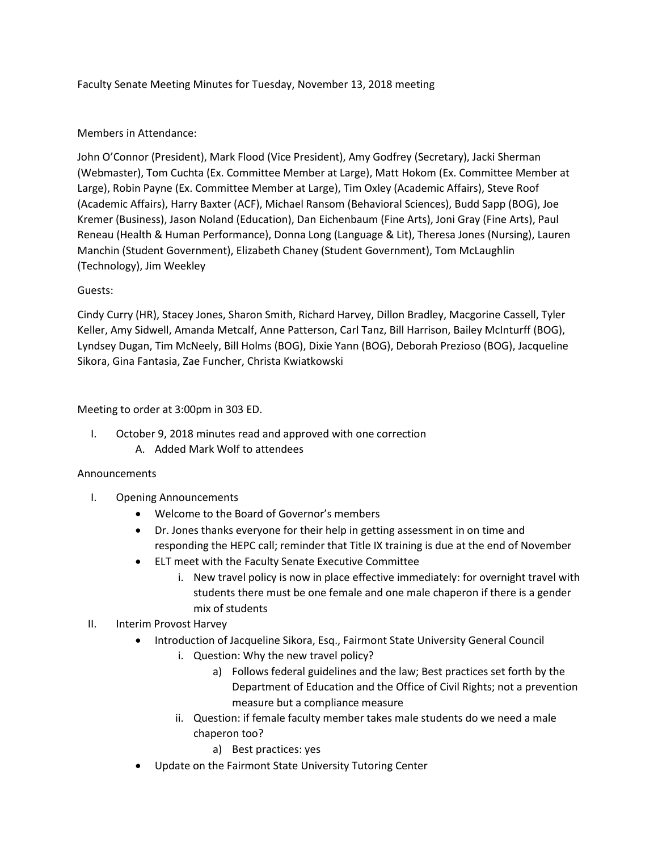Faculty Senate Meeting Minutes for Tuesday, November 13, 2018 meeting

# Members in Attendance:

John O'Connor (President), Mark Flood (Vice President), Amy Godfrey (Secretary), Jacki Sherman (Webmaster), Tom Cuchta (Ex. Committee Member at Large), Matt Hokom (Ex. Committee Member at Large), Robin Payne (Ex. Committee Member at Large), Tim Oxley (Academic Affairs), Steve Roof (Academic Affairs), Harry Baxter (ACF), Michael Ransom (Behavioral Sciences), Budd Sapp (BOG), Joe Kremer (Business), Jason Noland (Education), Dan Eichenbaum (Fine Arts), Joni Gray (Fine Arts), Paul Reneau (Health & Human Performance), Donna Long (Language & Lit), Theresa Jones (Nursing), Lauren Manchin (Student Government), Elizabeth Chaney (Student Government), Tom McLaughlin (Technology), Jim Weekley

## Guests:

Cindy Curry (HR), Stacey Jones, Sharon Smith, Richard Harvey, Dillon Bradley, Macgorine Cassell, Tyler Keller, Amy Sidwell, Amanda Metcalf, Anne Patterson, Carl Tanz, Bill Harrison, Bailey McInturff (BOG), Lyndsey Dugan, Tim McNeely, Bill Holms (BOG), Dixie Yann (BOG), Deborah Prezioso (BOG), Jacqueline Sikora, Gina Fantasia, Zae Funcher, Christa Kwiatkowski

## Meeting to order at 3:00pm in 303 ED.

I. October 9, 2018 minutes read and approved with one correction

# A. Added Mark Wolf to attendees

#### Announcements

- I. Opening Announcements
	- Welcome to the Board of Governor's members
	- Dr. Jones thanks everyone for their help in getting assessment in on time and responding the HEPC call; reminder that Title IX training is due at the end of November
	- ELT meet with the Faculty Senate Executive Committee
		- i. New travel policy is now in place effective immediately: for overnight travel with students there must be one female and one male chaperon if there is a gender mix of students

# II. Interim Provost Harvey

- Introduction of Jacqueline Sikora, Esq., Fairmont State University General Council
	- i. Question: Why the new travel policy?
		- a) Follows federal guidelines and the law; Best practices set forth by the Department of Education and the Office of Civil Rights; not a prevention measure but a compliance measure
	- ii. Question: if female faculty member takes male students do we need a male chaperon too?
		- a) Best practices: yes
- Update on the Fairmont State University Tutoring Center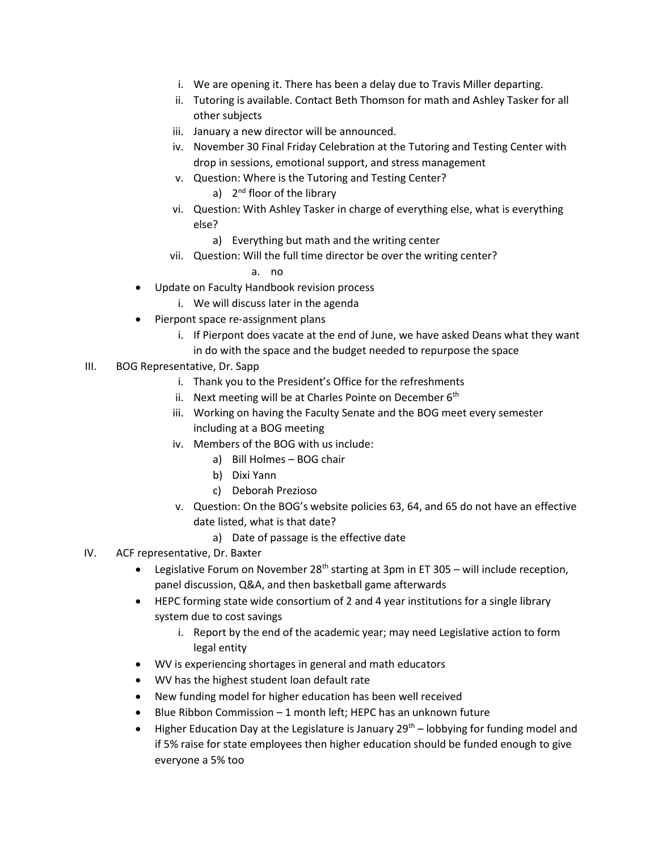- i. We are opening it. There has been a delay due to Travis Miller departing.
- ii. Tutoring is available. Contact Beth Thomson for math and Ashley Tasker for all other subjects
- iii. January a new director will be announced.
- iv. November 30 Final Friday Celebration at the Tutoring and Testing Center with drop in sessions, emotional support, and stress management
- v. Question: Where is the Tutoring and Testing Center?
	- a) 2<sup>nd</sup> floor of the library
- vi. Question: With Ashley Tasker in charge of everything else, what is everything else?
	- a) Everything but math and the writing center
- vii. Question: Will the full time director be over the writing center?
	- a. no
- Update on Faculty Handbook revision process
	- i. We will discuss later in the agenda
- Pierpont space re-assignment plans
	- i. If Pierpont does vacate at the end of June, we have asked Deans what they want in do with the space and the budget needed to repurpose the space
- III. BOG Representative, Dr. Sapp
	- i. Thank you to the President's Office for the refreshments
	- ii. Next meeting will be at Charles Pointe on December  $6<sup>th</sup>$
	- iii. Working on having the Faculty Senate and the BOG meet every semester including at a BOG meeting
	- iv. Members of the BOG with us include:
		- a) Bill Holmes BOG chair
		- b) Dixi Yann
		- c) Deborah Prezioso
	- v. Question: On the BOG's website policies 63, 64, and 65 do not have an effective date listed, what is that date?
		- a) Date of passage is the effective date
- IV. ACF representative, Dr. Baxter
	- **•** Legislative Forum on November 28<sup>th</sup> starting at 3pm in ET 305 will include reception, panel discussion, Q&A, and then basketball game afterwards
	- HEPC forming state wide consortium of 2 and 4 year institutions for a single library system due to cost savings
		- i. Report by the end of the academic year; may need Legislative action to form legal entity
	- WV is experiencing shortages in general and math educators
	- WV has the highest student loan default rate
	- New funding model for higher education has been well received
	- $\bullet$  Blue Ribbon Commission 1 month left; HEPC has an unknown future
	- $\bullet$  Higher Education Day at the Legislature is January 29<sup>th</sup> lobbying for funding model and if 5% raise for state employees then higher education should be funded enough to give everyone a 5% too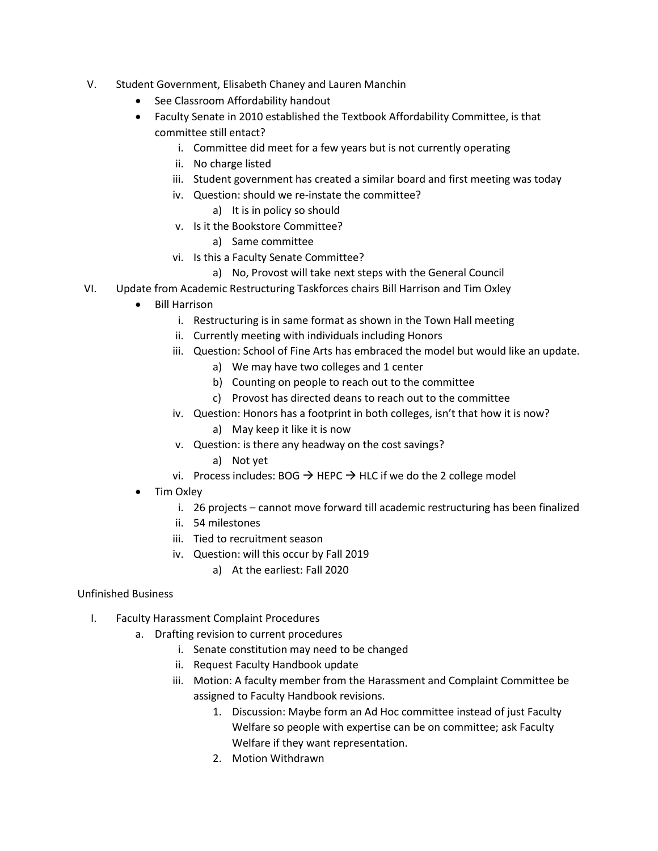- V. Student Government, Elisabeth Chaney and Lauren Manchin
	- See Classroom Affordability handout
	- Faculty Senate in 2010 established the Textbook Affordability Committee, is that committee still entact?
		- i. Committee did meet for a few years but is not currently operating
		- ii. No charge listed
		- iii. Student government has created a similar board and first meeting was today
		- iv. Question: should we re-instate the committee?
			- a) It is in policy so should
		- v. Is it the Bookstore Committee?
			- a) Same committee
		- vi. Is this a Faculty Senate Committee?
			- a) No, Provost will take next steps with the General Council
- VI. Update from Academic Restructuring Taskforces chairs Bill Harrison and Tim Oxley
	- Bill Harrison
		- i. Restructuring is in same format as shown in the Town Hall meeting
		- ii. Currently meeting with individuals including Honors
		- iii. Question: School of Fine Arts has embraced the model but would like an update.
			- a) We may have two colleges and 1 center
				- b) Counting on people to reach out to the committee
			- c) Provost has directed deans to reach out to the committee
		- iv. Question: Honors has a footprint in both colleges, isn't that how it is now?
			- a) May keep it like it is now
		- v. Question: is there any headway on the cost savings?
			- a) Not yet
		- vi. Process includes: BOG  $\rightarrow$  HEPC  $\rightarrow$  HLC if we do the 2 college model
	- Tim Oxley
		- i. 26 projects cannot move forward till academic restructuring has been finalized
		- ii. 54 milestones
		- iii. Tied to recruitment season
		- iv. Question: will this occur by Fall 2019
			- a) At the earliest: Fall 2020

#### Unfinished Business

- I. Faculty Harassment Complaint Procedures
	- a. Drafting revision to current procedures
		- i. Senate constitution may need to be changed
		- ii. Request Faculty Handbook update
		- iii. Motion: A faculty member from the Harassment and Complaint Committee be assigned to Faculty Handbook revisions.
			- 1. Discussion: Maybe form an Ad Hoc committee instead of just Faculty Welfare so people with expertise can be on committee; ask Faculty Welfare if they want representation.
			- 2. Motion Withdrawn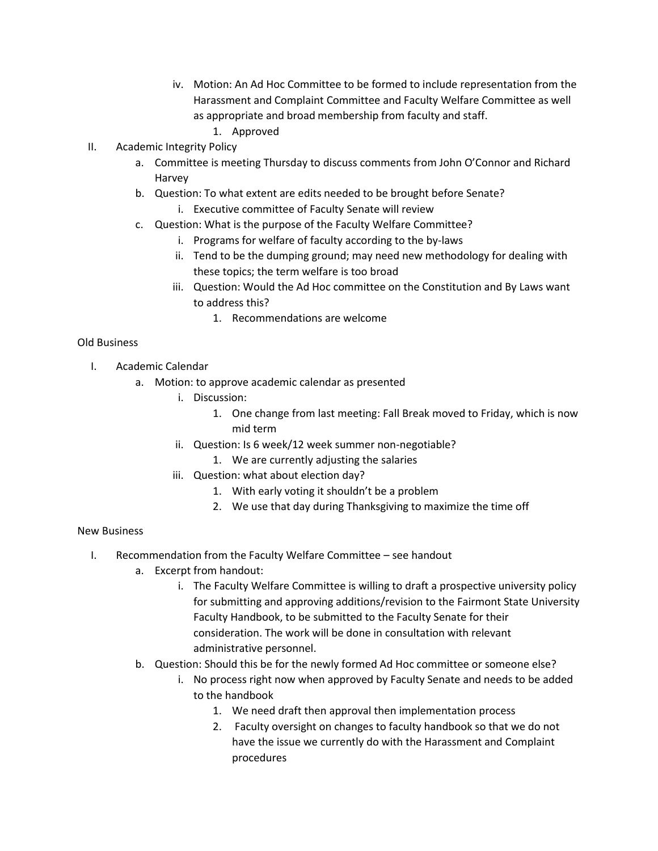- iv. Motion: An Ad Hoc Committee to be formed to include representation from the Harassment and Complaint Committee and Faculty Welfare Committee as well as appropriate and broad membership from faculty and staff.
	- 1. Approved
- II. Academic Integrity Policy
	- a. Committee is meeting Thursday to discuss comments from John O'Connor and Richard Harvey
	- b. Question: To what extent are edits needed to be brought before Senate? i. Executive committee of Faculty Senate will review
	- c. Question: What is the purpose of the Faculty Welfare Committee?
		- i. Programs for welfare of faculty according to the by-laws
		- ii. Tend to be the dumping ground; may need new methodology for dealing with these topics; the term welfare is too broad
		- iii. Question: Would the Ad Hoc committee on the Constitution and By Laws want to address this?
			- 1. Recommendations are welcome

## Old Business

- I. Academic Calendar
	- a. Motion: to approve academic calendar as presented
		- i. Discussion:
			- 1. One change from last meeting: Fall Break moved to Friday, which is now mid term
		- ii. Question: Is 6 week/12 week summer non-negotiable?
			- 1. We are currently adjusting the salaries
		- iii. Question: what about election day?
			- 1. With early voting it shouldn't be a problem
			- 2. We use that day during Thanksgiving to maximize the time off

#### New Business

- I. Recommendation from the Faculty Welfare Committee see handout
	- a. Excerpt from handout:
		- i. The Faculty Welfare Committee is willing to draft a prospective university policy for submitting and approving additions/revision to the Fairmont State University Faculty Handbook, to be submitted to the Faculty Senate for their consideration. The work will be done in consultation with relevant administrative personnel.
	- b. Question: Should this be for the newly formed Ad Hoc committee or someone else?
		- i. No process right now when approved by Faculty Senate and needs to be added to the handbook
			- 1. We need draft then approval then implementation process
			- 2. Faculty oversight on changes to faculty handbook so that we do not have the issue we currently do with the Harassment and Complaint procedures